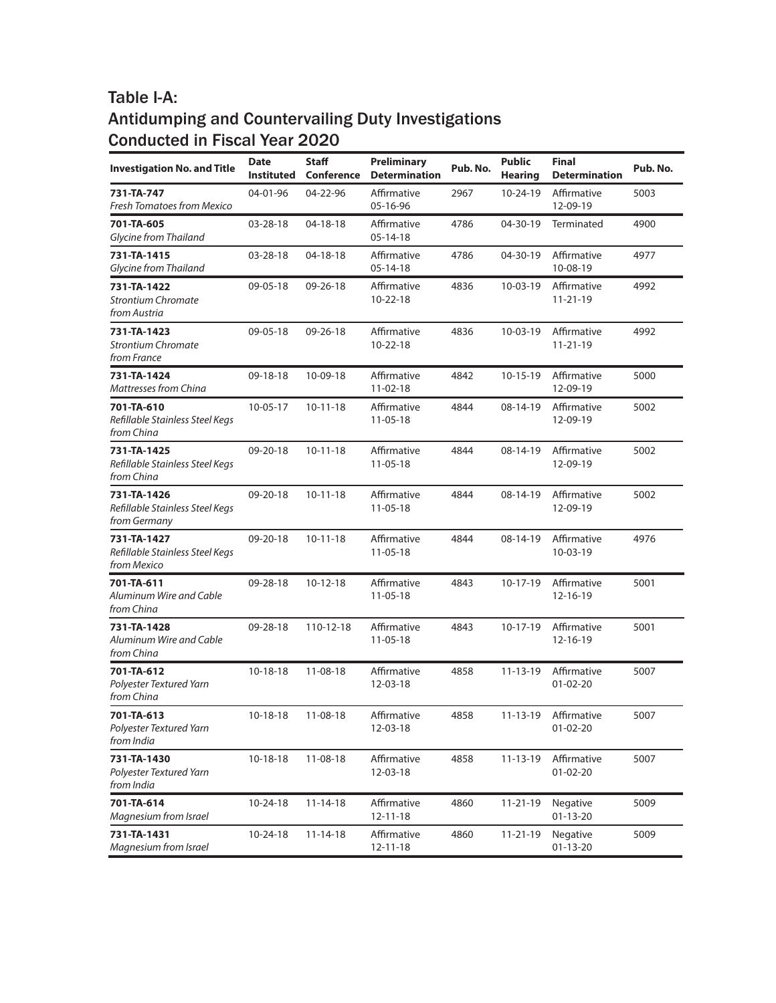| <b>Investigation No. and Title</b>                             | <b>Date</b><br>Instituted | <b>Staff</b><br><b>Conference</b> | Preliminary<br><b>Determination</b> | Pub. No. | <b>Public</b><br><b>Hearing</b> | <b>Final</b><br><b>Determination</b> | Pub. No. |
|----------------------------------------------------------------|---------------------------|-----------------------------------|-------------------------------------|----------|---------------------------------|--------------------------------------|----------|
| 731-TA-747<br>Fresh Tomatoes from Mexico                       | 04-01-96                  | 04-22-96                          | Affirmative<br>05-16-96             | 2967     | 10-24-19                        | Affirmative<br>12-09-19              | 5003     |
| 701-TA-605<br>Glycine from Thailand                            | 03-28-18                  | 04-18-18                          | Affirmative<br>$05 - 14 - 18$       | 4786     | 04-30-19                        | Terminated                           | 4900     |
| 731-TA-1415<br><b>Glycine from Thailand</b>                    | 03-28-18                  | 04-18-18                          | Affirmative<br>$05 - 14 - 18$       | 4786     | 04-30-19                        | Affirmative<br>10-08-19              | 4977     |
| 731-TA-1422<br><b>Strontium Chromate</b><br>from Austria       | 09-05-18                  | 09-26-18                          | Affirmative<br>$10 - 22 - 18$       | 4836     | $10-03-19$                      | Affirmative<br>$11 - 21 - 19$        | 4992     |
| 731-TA-1423<br><b>Strontium Chromate</b><br>from France        | 09-05-18                  | 09-26-18                          | Affirmative<br>$10 - 22 - 18$       | 4836     | $10-03-19$                      | Affirmative<br>$11 - 21 - 19$        | 4992     |
| 731-TA-1424<br>Mattresses from China                           | 09-18-18                  | 10-09-18                          | Affirmative<br>$11-02-18$           | 4842     | $10-15-19$                      | Affirmative<br>12-09-19              | 5000     |
| 701-TA-610<br>Refillable Stainless Steel Kegs<br>from China    | $10-05-17$                | $10 - 11 - 18$                    | Affirmative<br>$11-05-18$           | 4844     | 08-14-19                        | Affirmative<br>12-09-19              | 5002     |
| 731-TA-1425<br>Refillable Stainless Steel Kegs<br>from China   | 09-20-18                  | $10 - 11 - 18$                    | Affirmative<br>$11-05-18$           | 4844     | 08-14-19                        | Affirmative<br>12-09-19              | 5002     |
| 731-TA-1426<br>Refillable Stainless Steel Kegs<br>from Germany | 09-20-18                  | $10 - 11 - 18$                    | Affirmative<br>$11-05-18$           | 4844     | 08-14-19                        | Affirmative<br>12-09-19              | 5002     |
| 731-TA-1427<br>Refillable Stainless Steel Kegs<br>from Mexico  | 09-20-18                  | $10 - 11 - 18$                    | Affirmative<br>$11-05-18$           | 4844     | 08-14-19                        | Affirmative<br>10-03-19              | 4976     |
| 701-TA-611<br>Aluminum Wire and Cable<br>from China            | 09-28-18                  | $10-12-18$                        | Affirmative<br>$11-05-18$           | 4843     | $10-17-19$                      | Affirmative<br>12-16-19              | 5001     |
| 731-TA-1428<br>Aluminum Wire and Cable<br>from China           | 09-28-18                  | 110-12-18                         | Affirmative<br>$11-05-18$           | 4843     | 10-17-19                        | Affirmative<br>12-16-19              | 5001     |
| 701-TA-612<br>Polyester Textured Yarn<br>from China            | $10-18-18$                | 11-08-18                          | Affirmative<br>12-03-18             | 4858     | $11 - 13 - 19$                  | Affirmative<br>$01 - 02 - 20$        | 5007     |
| 701-TA-613<br>Polyester Textured Yarn<br>from India            | $10-18-18$                | 11-08-18                          | Affirmative<br>12-03-18             | 4858     | $11 - 13 - 19$                  | Affirmative<br>$01-02-20$            | 5007     |
| 731-TA-1430<br>Polyester Textured Yarn<br>from India           | $10-18-18$                | $11 - 08 - 18$                    | Affirmative<br>12-03-18             | 4858     | $11 - 13 - 19$                  | Affirmative<br>$01 - 02 - 20$        | 5007     |
| 701-TA-614<br>Magnesium from Israel                            | 10-24-18                  | $11 - 14 - 18$                    | Affirmative<br>$12 - 11 - 18$       | 4860     | $11 - 21 - 19$                  | Negative<br>$01 - 13 - 20$           | 5009     |
| 731-TA-1431<br>Magnesium from Israel                           | 10-24-18                  | $11 - 14 - 18$                    | Affirmative<br>$12 - 11 - 18$       | 4860     | $11 - 21 - 19$                  | Negative<br>$01 - 13 - 20$           | 5009     |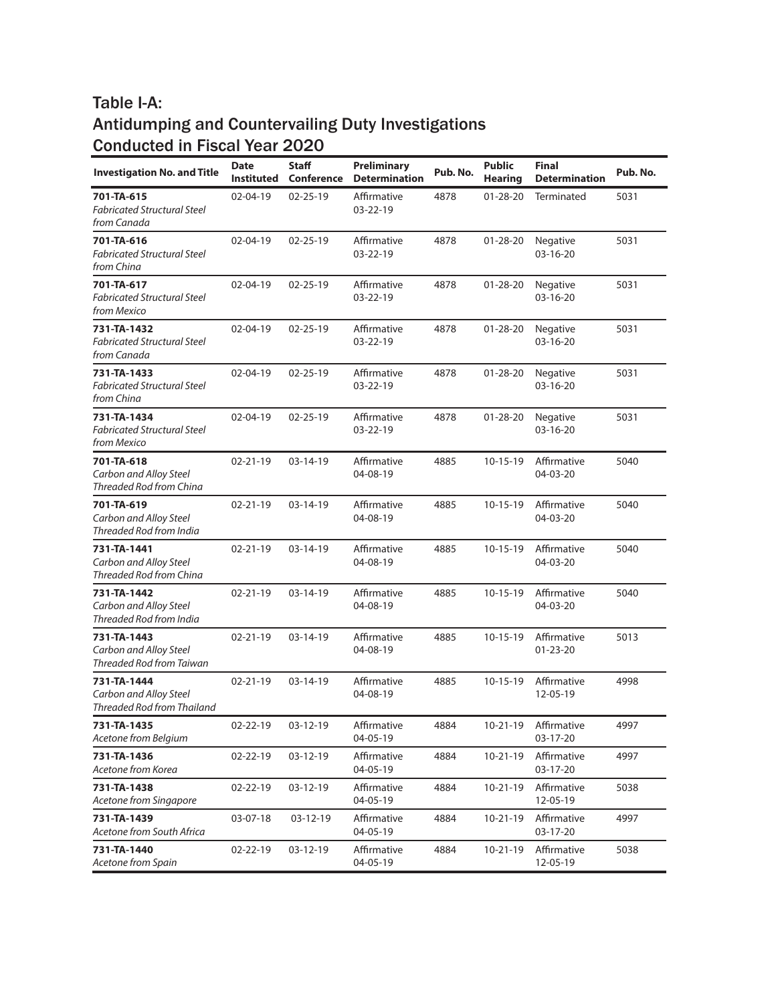| <b>Investigation No. and Title</b>                                  | Date<br><b>Instituted</b> | <b>Staff</b><br>Conference | Preliminary<br><b>Determination</b> | Pub. No. | <b>Public</b><br><b>Hearing</b> | <b>Final</b><br><b>Determination</b> | Pub. No. |
|---------------------------------------------------------------------|---------------------------|----------------------------|-------------------------------------|----------|---------------------------------|--------------------------------------|----------|
| 701-TA-615<br><b>Fabricated Structural Steel</b><br>from Canada     | 02-04-19                  | $02 - 25 - 19$             | Affirmative<br>03-22-19             | 4878     | $01 - 28 - 20$                  | Terminated                           | 5031     |
| 701-TA-616<br><b>Fabricated Structural Steel</b><br>from China      | 02-04-19                  | $02 - 25 - 19$             | Affirmative<br>03-22-19             | 4878     | $01 - 28 - 20$                  | Negative<br>03-16-20                 | 5031     |
| 701-TA-617<br><b>Fabricated Structural Steel</b><br>from Mexico     | 02-04-19                  | $02 - 25 - 19$             | Affirmative<br>03-22-19             | 4878     | $01 - 28 - 20$                  | Negative<br>03-16-20                 | 5031     |
| 731-TA-1432<br><b>Fabricated Structural Steel</b><br>from Canada    | 02-04-19                  | $02 - 25 - 19$             | Affirmative<br>03-22-19             | 4878     | $01 - 28 - 20$                  | Negative<br>03-16-20                 | 5031     |
| 731-TA-1433<br><b>Fabricated Structural Steel</b><br>from China     | 02-04-19                  | $02 - 25 - 19$             | Affirmative<br>03-22-19             | 4878     | $01 - 28 - 20$                  | Negative<br>03-16-20                 | 5031     |
| 731-TA-1434<br><b>Fabricated Structural Steel</b><br>from Mexico    | 02-04-19                  | $02 - 25 - 19$             | Affirmative<br>03-22-19             | 4878     | $01 - 28 - 20$                  | Negative<br>03-16-20                 | 5031     |
| 701-TA-618<br>Carbon and Alloy Steel<br>Threaded Rod from China     | 02-21-19                  | $03-14-19$                 | Affirmative<br>04-08-19             | 4885     | $10-15-19$                      | Affirmative<br>04-03-20              | 5040     |
| 701-TA-619<br>Carbon and Alloy Steel<br>Threaded Rod from India     | $02 - 21 - 19$            | $03-14-19$                 | Affirmative<br>04-08-19             | 4885     | $10-15-19$                      | Affirmative<br>04-03-20              | 5040     |
| 731-TA-1441<br>Carbon and Alloy Steel<br>Threaded Rod from China    | 02-21-19                  | 03-14-19                   | Affirmative<br>04-08-19             | 4885     | $10 - 15 - 19$                  | Affirmative<br>04-03-20              | 5040     |
| 731-TA-1442<br>Carbon and Alloy Steel<br>Threaded Rod from India    | $02 - 21 - 19$            | $03-14-19$                 | Affirmative<br>04-08-19             | 4885     | $10-15-19$                      | Affirmative<br>04-03-20              | 5040     |
| 731-TA-1443<br>Carbon and Alloy Steel<br>Threaded Rod from Taiwan   | 02-21-19                  | $03-14-19$                 | Affirmative<br>04-08-19             | 4885     | $10-15-19$                      | Affirmative<br>$01 - 23 - 20$        | 5013     |
| 731-TA-1444<br>Carbon and Alloy Steel<br>Threaded Rod from Thailand | $02 - 21 - 19$            | 03-14-19                   | Affirmative<br>04-08-19             | 4885     | $10-15-19$                      | Affirmative<br>12-05-19              | 4998     |
| 731-TA-1435<br>Acetone from Belgium                                 | 02-22-19                  | 03-12-19                   | Affirmative<br>04-05-19             | 4884     | $10 - 21 - 19$                  | Affirmative<br>03-17-20              | 4997     |
| 731-TA-1436<br>Acetone from Korea                                   | 02-22-19                  | 03-12-19                   | Affirmative<br>04-05-19             | 4884     | $10 - 21 - 19$                  | Affirmative<br>03-17-20              | 4997     |
| 731-TA-1438<br>Acetone from Singapore                               | 02-22-19                  | 03-12-19                   | Affirmative<br>04-05-19             | 4884     | $10-21-19$                      | Affirmative<br>12-05-19              | 5038     |
| 731-TA-1439<br>Acetone from South Africa                            | 03-07-18                  | 03-12-19                   | Affirmative<br>04-05-19             | 4884     | $10-21-19$                      | Affirmative<br>03-17-20              | 4997     |
| 731-TA-1440<br>Acetone from Spain                                   | 02-22-19                  | 03-12-19                   | Affirmative<br>04-05-19             | 4884     | $10 - 21 - 19$                  | Affirmative<br>12-05-19              | 5038     |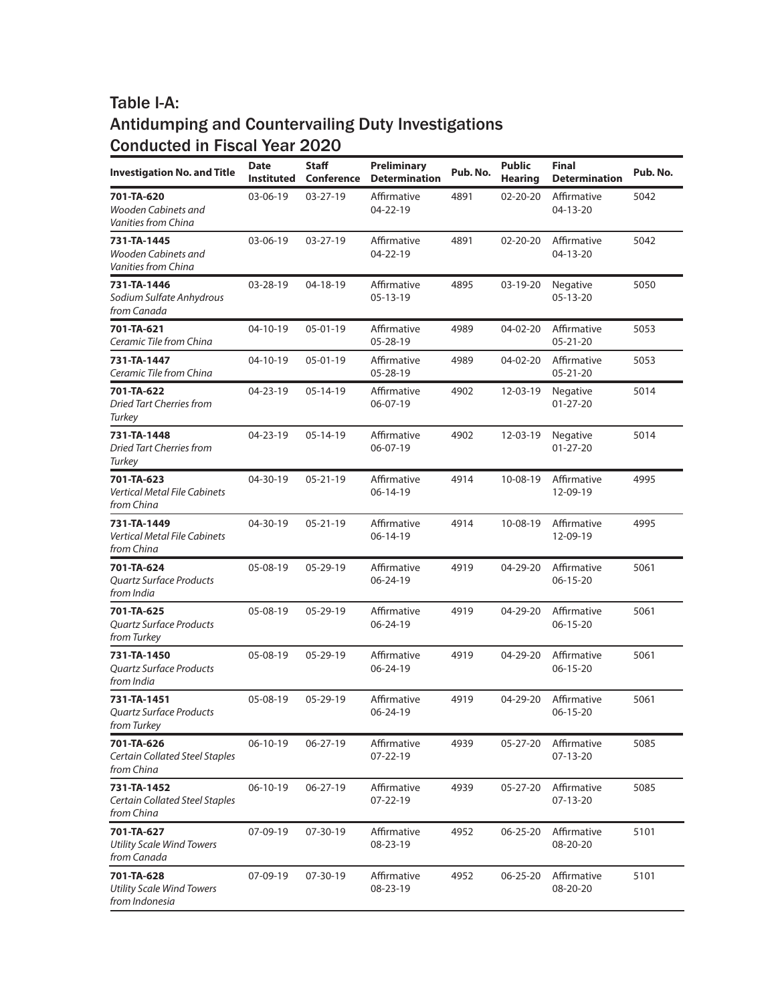| <b>Investigation No. and Title</b>                                 | <b>Date</b><br>Instituted | <b>Staff</b><br><b>Conference</b> | Preliminary<br><b>Determination</b> | Pub. No. | <b>Public</b><br><b>Hearing</b> | <b>Final</b><br><b>Determination</b> | Pub. No. |
|--------------------------------------------------------------------|---------------------------|-----------------------------------|-------------------------------------|----------|---------------------------------|--------------------------------------|----------|
| 701-TA-620<br>Wooden Cabinets and<br>Vanities from China           | 03-06-19                  | $03 - 27 - 19$                    | Affirmative<br>04-22-19             | 4891     | 02-20-20                        | Affirmative<br>04-13-20              | 5042     |
| 731-TA-1445<br>Wooden Cabinets and<br>Vanities from China          | 03-06-19                  | 03-27-19                          | Affirmative<br>04-22-19             | 4891     | $02 - 20 - 20$                  | Affirmative<br>04-13-20              | 5042     |
| 731-TA-1446<br>Sodium Sulfate Anhydrous<br>from Canada             | 03-28-19                  | 04-18-19                          | Affirmative<br>05-13-19             | 4895     | 03-19-20                        | Negative<br>05-13-20                 | 5050     |
| 701-TA-621<br>Ceramic Tile from China                              | 04-10-19                  | $05 - 01 - 19$                    | Affirmative<br>05-28-19             | 4989     | 04-02-20                        | Affirmative<br>05-21-20              | 5053     |
| 731-TA-1447<br>Ceramic Tile from China                             | 04-10-19                  | $05 - 01 - 19$                    | Affirmative<br>05-28-19             | 4989     | 04-02-20                        | Affirmative<br>$05 - 21 - 20$        | 5053     |
| 701-TA-622<br>Dried Tart Cherries from<br>Turkey                   | 04-23-19                  | $05-14-19$                        | Affirmative<br>06-07-19             | 4902     | 12-03-19                        | Negative<br>$01 - 27 - 20$           | 5014     |
| 731-TA-1448<br><b>Dried Tart Cherries from</b><br>Turkey           | 04-23-19                  | $05-14-19$                        | Affirmative<br>06-07-19             | 4902     | 12-03-19                        | Negative<br>$01 - 27 - 20$           | 5014     |
| 701-TA-623<br>Vertical Metal File Cabinets<br>from China           | 04-30-19                  | $05 - 21 - 19$                    | Affirmative<br>06-14-19             | 4914     | 10-08-19                        | Affirmative<br>12-09-19              | 4995     |
| 731-TA-1449<br>Vertical Metal File Cabinets<br>from China          | 04-30-19                  | $05 - 21 - 19$                    | Affirmative<br>06-14-19             | 4914     | 10-08-19                        | Affirmative<br>12-09-19              | 4995     |
| 701-TA-624<br><b>Quartz Surface Products</b><br>from India         | 05-08-19                  | 05-29-19                          | Affirmative<br>06-24-19             | 4919     | 04-29-20                        | Affirmative<br>06-15-20              | 5061     |
| 701-TA-625<br><b>Quartz Surface Products</b><br>from Turkey        | 05-08-19                  | 05-29-19                          | Affirmative<br>06-24-19             | 4919     | 04-29-20                        | Affirmative<br>06-15-20              | 5061     |
| 731-TA-1450<br><b>Quartz Surface Products</b><br>from India        | 05-08-19                  | 05-29-19                          | Affirmative<br>06-24-19             | 4919     | 04-29-20                        | Affirmative<br>$06 - 15 - 20$        | 5061     |
| 731-TA-1451<br><b>Ouartz Surface Products</b><br>from Turkey       | 05-08-19                  | 05-29-19                          | Affirmative<br>06-24-19             | 4919     | 04-29-20                        | Affirmative<br>06-15-20              | 5061     |
| 701-TA-626<br><b>Certain Collated Steel Staples</b><br>from China  | $06-10-19$                | 06-27-19                          | Affirmative<br>07-22-19             | 4939     | 05-27-20                        | Affirmative<br>07-13-20              | 5085     |
| 731-TA-1452<br><b>Certain Collated Steel Staples</b><br>from China | 06-10-19                  | $06 - 27 - 19$                    | Affirmative<br>$07 - 22 - 19$       | 4939     | 05-27-20                        | Affirmative<br>07-13-20              | 5085     |
| 701-TA-627<br><b>Utility Scale Wind Towers</b><br>from Canada      | 07-09-19                  | 07-30-19                          | Affirmative<br>08-23-19             | 4952     | 06-25-20                        | Affirmative<br>08-20-20              | 5101     |
| 701-TA-628<br><b>Utility Scale Wind Towers</b><br>from Indonesia   | 07-09-19                  | 07-30-19                          | Affirmative<br>08-23-19             | 4952     | 06-25-20                        | Affirmative<br>08-20-20              | 5101     |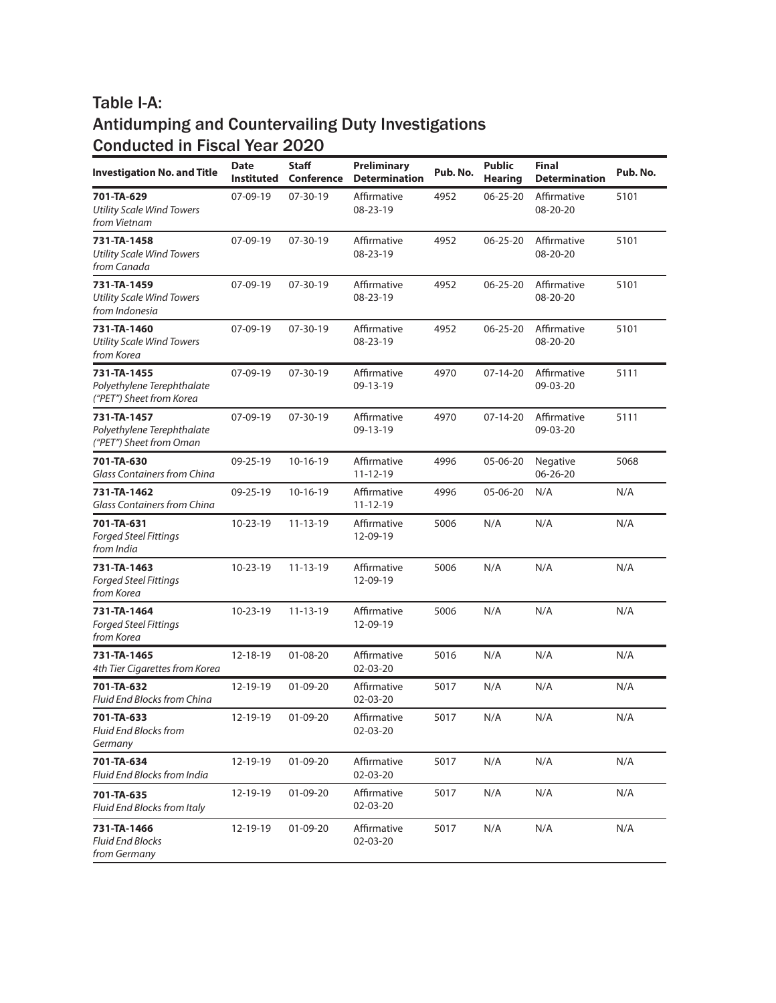| <b>Investigation No. and Title</b>                                    | <b>Date</b><br><b>Instituted</b> | <b>Staff</b><br>Conference | <b>Preliminary</b><br><b>Determination</b> | Pub. No. | <b>Public</b><br><b>Hearing</b> | <b>Final</b><br><b>Determination</b> | Pub. No. |
|-----------------------------------------------------------------------|----------------------------------|----------------------------|--------------------------------------------|----------|---------------------------------|--------------------------------------|----------|
| 701-TA-629<br><b>Utility Scale Wind Towers</b><br>from Vietnam        | 07-09-19                         | 07-30-19                   | Affirmative<br>08-23-19                    | 4952     | $06 - 25 - 20$                  | Affirmative<br>08-20-20              | 5101     |
| 731-TA-1458<br><b>Utility Scale Wind Towers</b><br>from Canada        | 07-09-19                         | $07 - 30 - 19$             | Affirmative<br>08-23-19                    | 4952     | $06 - 25 - 20$                  | Affirmative<br>08-20-20              | 5101     |
| 731-TA-1459<br><b>Utility Scale Wind Towers</b><br>from Indonesia     | 07-09-19                         | $07 - 30 - 19$             | Affirmative<br>08-23-19                    | 4952     | $06 - 25 - 20$                  | Affirmative<br>08-20-20              | 5101     |
| 731-TA-1460<br><b>Utility Scale Wind Towers</b><br>from Korea         | 07-09-19                         | $07 - 30 - 19$             | Affirmative<br>08-23-19                    | 4952     | $06 - 25 - 20$                  | Affirmative<br>08-20-20              | 5101     |
| 731-TA-1455<br>Polyethylene Terephthalate<br>("PET") Sheet from Korea | 07-09-19                         | 07-30-19                   | Affirmative<br>09-13-19                    | 4970     | $07-14-20$                      | Affirmative<br>09-03-20              | 5111     |
| 731-TA-1457<br>Polyethylene Terephthalate<br>("PET") Sheet from Oman  | 07-09-19                         | $07 - 30 - 19$             | Affirmative<br>09-13-19                    | 4970     | $07-14-20$                      | Affirmative<br>09-03-20              | 5111     |
| 701-TA-630<br><b>Glass Containers from China</b>                      | 09-25-19                         | $10-16-19$                 | Affirmative<br>$11 - 12 - 19$              | 4996     | 05-06-20                        | Negative<br>06-26-20                 | 5068     |
| 731-TA-1462<br>Glass Containers from China                            | 09-25-19                         | $10-16-19$                 | Affirmative<br>$11 - 12 - 19$              | 4996     | 05-06-20                        | N/A                                  | N/A      |
| 701-TA-631<br><b>Forged Steel Fittings</b><br>from India              | 10-23-19                         | $11 - 13 - 19$             | Affirmative<br>12-09-19                    | 5006     | N/A                             | N/A                                  | N/A      |
| 731-TA-1463<br><b>Forged Steel Fittings</b><br>from Korea             | 10-23-19                         | $11 - 13 - 19$             | Affirmative<br>12-09-19                    | 5006     | N/A                             | N/A                                  | N/A      |
| 731-TA-1464<br><b>Forged Steel Fittings</b><br>from Korea             | 10-23-19                         | $11 - 13 - 19$             | Affirmative<br>12-09-19                    | 5006     | N/A                             | N/A                                  | N/A      |
| 731-TA-1465<br>4th Tier Cigarettes from Korea                         | 12-18-19                         | $01 - 08 - 20$             | Affirmative<br>02-03-20                    | 5016     | N/A                             | N/A                                  | N/A      |
| 701-TA-632<br>Fluid End Blocks from China                             | 12-19-19                         | 01-09-20                   | Affirmative<br>02-03-20                    | 5017     | N/A                             | N/A                                  | N/A      |
| 701-TA-633<br>Fluid End Blocks from<br>Germany                        | 12-19-19                         | $01 - 09 - 20$             | Affirmative<br>02-03-20                    | 5017     | N/A                             | N/A                                  | N/A      |
| 701-TA-634<br>Fluid End Blocks from India                             | 12-19-19                         | 01-09-20                   | Affirmative<br>02-03-20                    | 5017     | N/A                             | N/A                                  | N/A      |
| 701-TA-635<br>Fluid End Blocks from Italy                             | 12-19-19                         | 01-09-20                   | Affirmative<br>$02 - 03 - 20$              | 5017     | N/A                             | N/A                                  | N/A      |
| 731-TA-1466<br>Fluid End Blocks<br>from Germany                       | 12-19-19                         | 01-09-20                   | Affirmative<br>02-03-20                    | 5017     | N/A                             | N/A                                  | N/A      |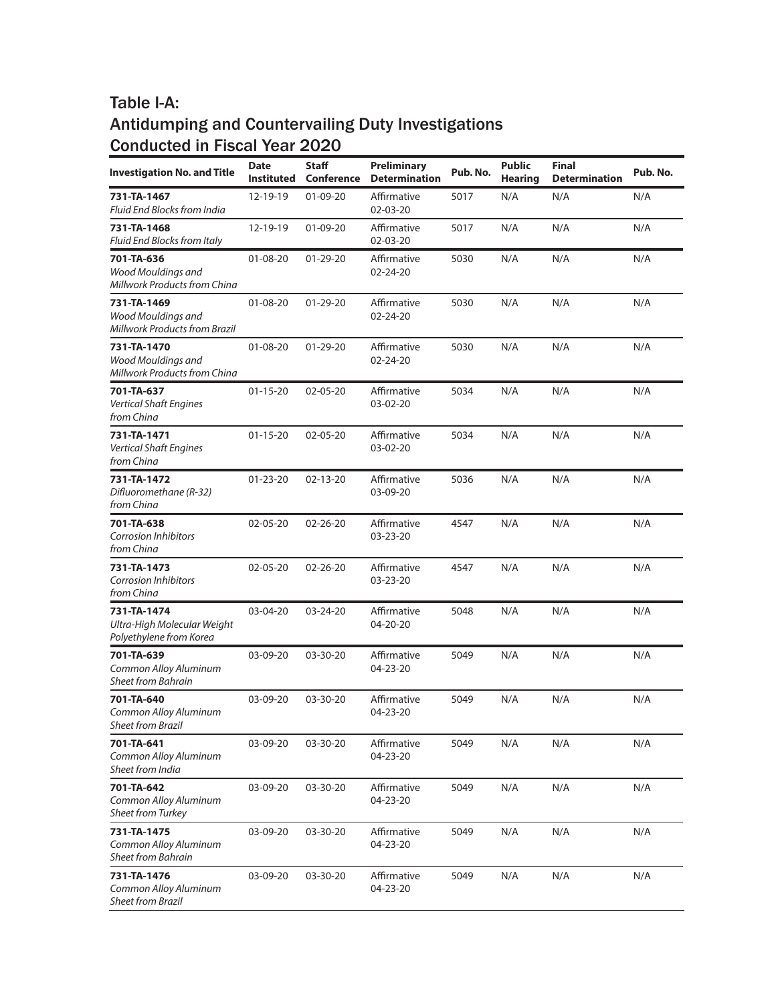| <b>Investigation No. and Title</b>                                        | <b>Date</b><br><b>Instituted</b> | <b>Staff</b><br>Conference | <b>Preliminary</b><br><b>Determination</b> | Pub. No. | <b>Public</b><br><b>Hearing</b> | <b>Final</b><br><b>Determination</b> | Pub. No. |
|---------------------------------------------------------------------------|----------------------------------|----------------------------|--------------------------------------------|----------|---------------------------------|--------------------------------------|----------|
| 731-TA-1467<br>Fluid End Blocks from India                                | 12-19-19                         | $01 - 09 - 20$             | Affirmative<br>02-03-20                    | 5017     | N/A                             | N/A                                  | N/A      |
| 731-TA-1468<br>Fluid End Blocks from Italy                                | 12-19-19                         | $01 - 09 - 20$             | Affirmative<br>02-03-20                    | 5017     | N/A                             | N/A                                  | N/A      |
| 701-TA-636<br>Wood Mouldings and<br>Millwork Products from China          | $01 - 08 - 20$                   | 01-29-20                   | Affirmative<br>02-24-20                    | 5030     | N/A                             | N/A                                  | N/A      |
| 731-TA-1469<br>Wood Mouldings and<br><b>Millwork Products from Brazil</b> | $01 - 08 - 20$                   | $01 - 29 - 20$             | Affirmative<br>02-24-20                    | 5030     | N/A                             | N/A                                  | N/A      |
| 731-TA-1470<br>Wood Mouldings and<br>Millwork Products from China         | $01 - 08 - 20$                   | $01 - 29 - 20$             | Affirmative<br>02-24-20                    | 5030     | N/A                             | N/A                                  | N/A      |
| 701-TA-637<br><b>Vertical Shaft Engines</b><br>from China                 | $01 - 15 - 20$                   | 02-05-20                   | Affirmative<br>03-02-20                    | 5034     | N/A                             | N/A                                  | N/A      |
| 731-TA-1471<br><b>Vertical Shaft Engines</b><br>from China                | $01 - 15 - 20$                   | 02-05-20                   | Affirmative<br>03-02-20                    | 5034     | N/A                             | N/A                                  | N/A      |
| 731-TA-1472<br>Difluoromethane (R-32)<br>from China                       | $01 - 23 - 20$                   | $02 - 13 - 20$             | Affirmative<br>03-09-20                    | 5036     | N/A                             | N/A                                  | N/A      |
| 701-TA-638<br><b>Corrosion Inhibitors</b><br>from China                   | 02-05-20                         | $02 - 26 - 20$             | Affirmative<br>03-23-20                    | 4547     | N/A                             | N/A                                  | N/A      |
| 731-TA-1473<br><b>Corrosion Inhibitors</b><br>from China                  | 02-05-20                         | $02 - 26 - 20$             | Affirmative<br>03-23-20                    | 4547     | N/A                             | N/A                                  | N/A      |
| 731-TA-1474<br>Ultra-High Molecular Weight<br>Polyethylene from Korea     | 03-04-20                         | 03-24-20                   | Affirmative<br>04-20-20                    | 5048     | N/A                             | N/A                                  | N/A      |
| 701-TA-639<br>Common Alloy Aluminum<br>Sheet from Bahrain                 | 03-09-20                         | 03-30-20                   | Affirmative<br>04-23-20                    | 5049     | N/A                             | N/A                                  | N/A      |
| 701-TA-640<br>Common Alloy Aluminum<br>Sheet from Brazil                  | 03-09-20                         | 03-30-20                   | Affirmative<br>04-23-20                    | 5049     | N/A                             | N/A                                  | N/A      |
| 701-TA-641<br>Common Alloy Aluminum<br>Sheet from India                   | 03-09-20                         | 03-30-20                   | Affirmative<br>04-23-20                    | 5049     | N/A                             | N/A                                  | N/A      |
| 701-TA-642<br>Common Alloy Aluminum<br><b>Sheet from Turkey</b>           | 03-09-20                         | 03-30-20                   | Affirmative<br>04-23-20                    | 5049     | N/A                             | N/A                                  | N/A      |
| 731-TA-1475<br>Common Alloy Aluminum<br>Sheet from Bahrain                | 03-09-20                         | 03-30-20                   | Affirmative<br>04-23-20                    | 5049     | N/A                             | N/A                                  | N/A      |
| 731-TA-1476<br>Common Alloy Aluminum<br><b>Sheet from Brazil</b>          | 03-09-20                         | 03-30-20                   | Affirmative<br>04-23-20                    | 5049     | N/A                             | N/A                                  | N/A      |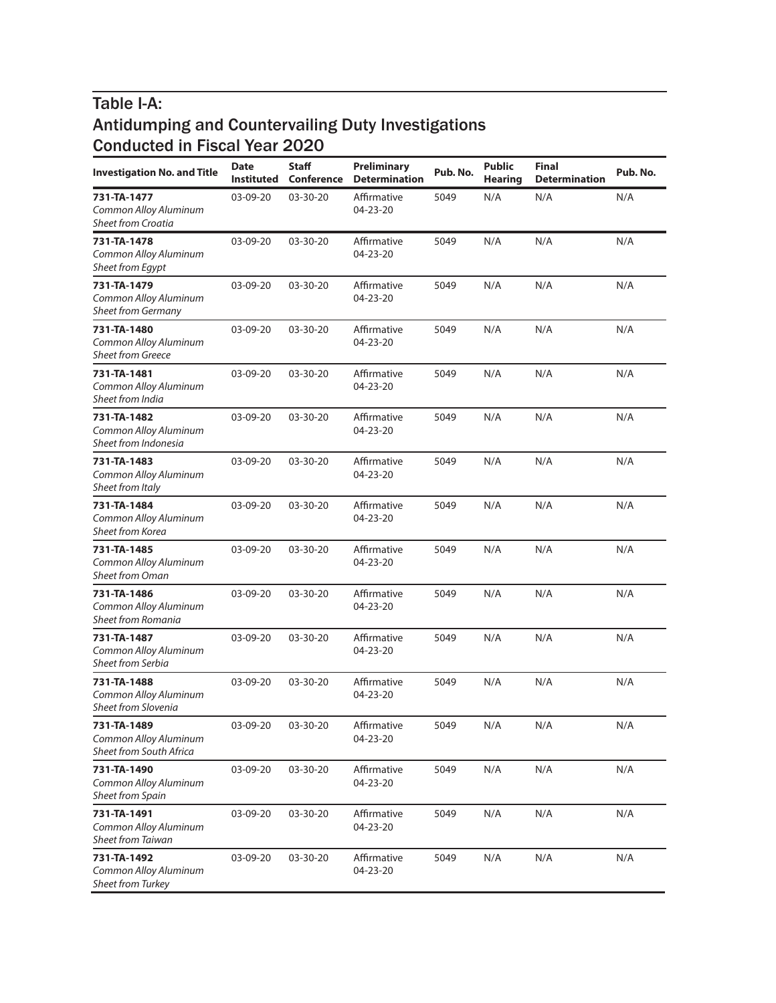| <b>Investigation No. and Title</b>                                | <b>Date</b><br><b>Instituted</b> | <b>Staff</b><br>Conference | <b>Preliminary</b><br><b>Determination</b> | Pub. No. | <b>Public</b><br><b>Hearing</b> | <b>Final</b><br><b>Determination</b> | Pub. No. |
|-------------------------------------------------------------------|----------------------------------|----------------------------|--------------------------------------------|----------|---------------------------------|--------------------------------------|----------|
| 731-TA-1477<br>Common Alloy Aluminum<br><b>Sheet from Croatia</b> | 03-09-20                         | 03-30-20                   | Affirmative<br>04-23-20                    | 5049     | N/A                             | N/A                                  | N/A      |
| 731-TA-1478<br>Common Alloy Aluminum<br><b>Sheet from Egypt</b>   | $03-09-20$                       | 03-30-20                   | Affirmative<br>04-23-20                    | 5049     | N/A                             | N/A                                  | N/A      |
| 731-TA-1479<br>Common Alloy Aluminum<br>Sheet from Germany        | 03-09-20                         | 03-30-20                   | Affirmative<br>$04 - 23 - 20$              | 5049     | N/A                             | N/A                                  | N/A      |
| 731-TA-1480<br>Common Alloy Aluminum<br><b>Sheet from Greece</b>  | 03-09-20                         | 03-30-20                   | Affirmative<br>$04 - 23 - 20$              | 5049     | N/A                             | N/A                                  | N/A      |
| 731-TA-1481<br>Common Alloy Aluminum<br>Sheet from India          | 03-09-20                         | 03-30-20                   | Affirmative<br>04-23-20                    | 5049     | N/A                             | N/A                                  | N/A      |
| 731-TA-1482<br>Common Alloy Aluminum<br>Sheet from Indonesia      | 03-09-20                         | 03-30-20                   | Affirmative<br>04-23-20                    | 5049     | N/A                             | N/A                                  | N/A      |
| 731-TA-1483<br>Common Alloy Aluminum<br>Sheet from Italy          | 03-09-20                         | 03-30-20                   | Affirmative<br>04-23-20                    | 5049     | N/A                             | N/A                                  | N/A      |
| 731-TA-1484<br>Common Alloy Aluminum<br>Sheet from Korea          | 03-09-20                         | 03-30-20                   | Affirmative<br>04-23-20                    | 5049     | N/A                             | N/A                                  | N/A      |
| 731-TA-1485<br>Common Alloy Aluminum<br><b>Sheet from Oman</b>    | 03-09-20                         | 03-30-20                   | Affirmative<br>04-23-20                    | 5049     | N/A                             | N/A                                  | N/A      |
| 731-TA-1486<br>Common Alloy Aluminum<br>Sheet from Romania        | 03-09-20                         | 03-30-20                   | Affirmative<br>04-23-20                    | 5049     | N/A                             | N/A                                  | N/A      |
| 731-TA-1487<br>Common Alloy Aluminum<br><b>Sheet from Serbia</b>  | 03-09-20                         | 03-30-20                   | Affirmative<br>04-23-20                    | 5049     | N/A                             | N/A                                  | N/A      |
| 731-TA-1488<br>Common Alloy Aluminum<br>Sheet from Slovenia       | 03-09-20                         | 03-30-20                   | Affirmative<br>04-23-20                    | 5049     | N/A                             | N/A                                  | N/A      |
| 731-TA-1489<br>Common Alloy Aluminum<br>Sheet from South Africa   | 03-09-20                         | 03-30-20                   | Affirmative<br>04-23-20                    | 5049     | N/A                             | N/A                                  | N/A      |
| 731-TA-1490<br>Common Alloy Aluminum<br><b>Sheet from Spain</b>   | 03-09-20                         | 03-30-20                   | Affirmative<br>04-23-20                    | 5049     | N/A                             | N/A                                  | N/A      |
| 731-TA-1491<br>Common Alloy Aluminum<br><b>Sheet from Taiwan</b>  | 03-09-20                         | 03-30-20                   | Affirmative<br>04-23-20                    | 5049     | N/A                             | N/A                                  | N/A      |
| 731-TA-1492<br>Common Alloy Aluminum<br>Sheet from Turkey         | 03-09-20                         | 03-30-20                   | Affirmative<br>04-23-20                    | 5049     | N/A                             | N/A                                  | N/A      |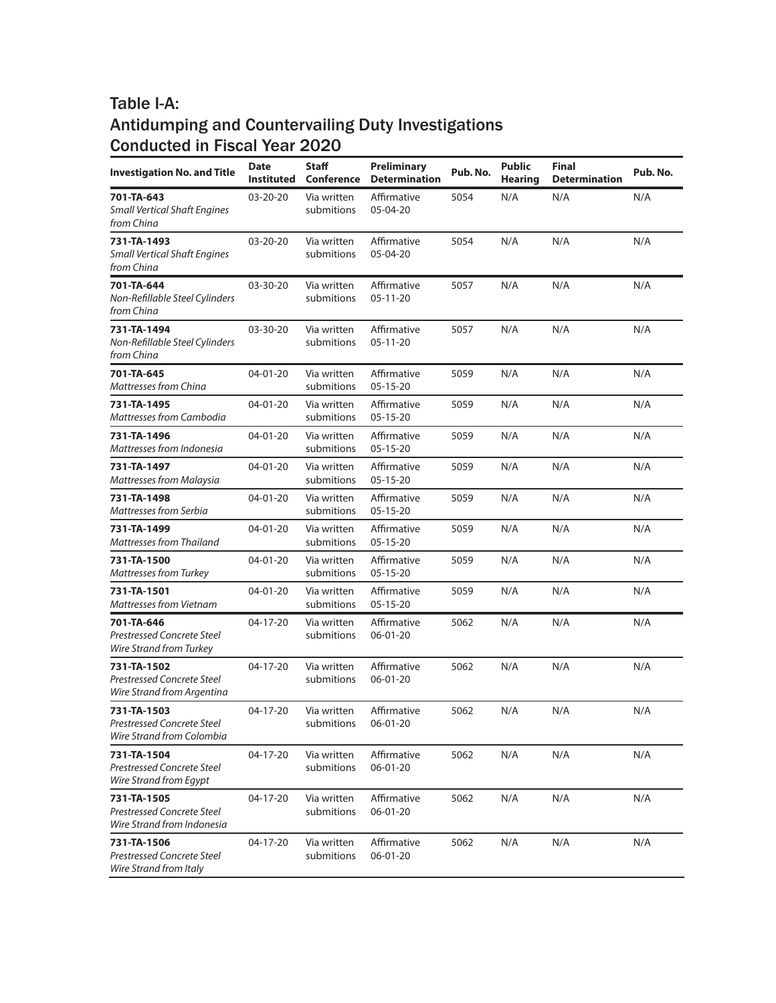| <b>Investigation No. and Title</b>                                             | <b>Date</b><br><b>Instituted</b> | <b>Staff</b><br><b>Conference</b> | <b>Preliminary</b><br><b>Determination</b> | Pub. No. | <b>Public</b><br><b>Hearing</b> | <b>Final</b><br><b>Determination</b> | Pub. No. |
|--------------------------------------------------------------------------------|----------------------------------|-----------------------------------|--------------------------------------------|----------|---------------------------------|--------------------------------------|----------|
| 701-TA-643<br><b>Small Vertical Shaft Engines</b><br>from China                | $03 - 20 - 20$                   | Via written<br>submitions         | Affirmative<br>05-04-20                    | 5054     | N/A                             | N/A                                  | N/A      |
| 731-TA-1493<br><b>Small Vertical Shaft Engines</b><br>from China               | $03 - 20 - 20$                   | Via written<br>submitions         | Affirmative<br>05-04-20                    | 5054     | N/A                             | N/A                                  | N/A      |
| 701-TA-644<br>Non-Refillable Steel Cylinders<br>from China                     | 03-30-20                         | Via written<br>submitions         | Affirmative<br>$05-11-20$                  | 5057     | N/A                             | N/A                                  | N/A      |
| 731-TA-1494<br>Non-Refillable Steel Cylinders<br>from China                    | 03-30-20                         | Via written<br>submitions         | Affirmative<br>$05-11-20$                  | 5057     | N/A                             | N/A                                  | N/A      |
| 701-TA-645<br>Mattresses from China                                            | 04-01-20                         | Via written<br>submitions         | Affirmative<br>$05-15-20$                  | 5059     | N/A                             | N/A                                  | N/A      |
| 731-TA-1495<br>Mattresses from Cambodia                                        | 04-01-20                         | Via written<br>submitions         | Affirmative<br>$05 - 15 - 20$              | 5059     | N/A                             | N/A                                  | N/A      |
| 731-TA-1496<br>Mattresses from Indonesia                                       | 04-01-20                         | Via written<br>submitions         | Affirmative<br>$05 - 15 - 20$              | 5059     | N/A                             | N/A                                  | N/A      |
| 731-TA-1497<br><b>Mattresses from Malaysia</b>                                 | $04 - 01 - 20$                   | Via written<br>submitions         | Affirmative<br>$05 - 15 - 20$              | 5059     | N/A                             | N/A                                  | N/A      |
| 731-TA-1498<br>Mattresses from Serbia                                          | 04-01-20                         | Via written<br>submitions         | Affirmative<br>$05 - 15 - 20$              | 5059     | N/A                             | N/A                                  | N/A      |
| 731-TA-1499<br><b>Mattresses from Thailand</b>                                 | 04-01-20                         | Via written<br>submitions         | Affirmative<br>$05 - 15 - 20$              | 5059     | N/A                             | N/A                                  | N/A      |
| 731-TA-1500<br><b>Mattresses from Turkey</b>                                   | 04-01-20                         | Via written<br>submitions         | Affirmative<br>$05 - 15 - 20$              | 5059     | N/A                             | N/A                                  | N/A      |
| 731-TA-1501<br>Mattresses from Vietnam                                         | 04-01-20                         | Via written<br>submitions         | Affirmative<br>$05 - 15 - 20$              | 5059     | N/A                             | N/A                                  | N/A      |
| 701-TA-646<br>Prestressed Concrete Steel<br>Wire Strand from Turkey            | 04-17-20                         | Via written<br>submitions         | Affirmative<br>06-01-20                    | 5062     | N/A                             | N/A                                  | N/A      |
| 731-TA-1502<br><b>Prestressed Concrete Steel</b><br>Wire Strand from Argentina | 04-17-20                         | Via written<br>submitions         | Affirmative<br>$06 - 01 - 20$              | 5062     | N/A                             | N/A                                  | N/A      |
| 731-TA-1503<br>Prestressed Concrete Steel<br>Wire Strand from Colombia         | 04-17-20                         | Via written<br>submitions         | Affirmative<br>06-01-20                    | 5062     | N/A                             | N/A                                  | N/A      |
| 731-TA-1504<br>Prestressed Concrete Steel<br>Wire Strand from Egypt            | 04-17-20                         | Via written<br>submitions         | Affirmative<br>06-01-20                    | 5062     | N/A                             | N/A                                  | N/A      |
| 731-TA-1505<br><b>Prestressed Concrete Steel</b><br>Wire Strand from Indonesia | 04-17-20                         | Via written<br>submitions         | Affirmative<br>06-01-20                    | 5062     | N/A                             | N/A                                  | N/A      |
| 731-TA-1506<br><b>Prestressed Concrete Steel</b><br>Wire Strand from Italy     | 04-17-20                         | Via written<br>submitions         | Affirmative<br>06-01-20                    | 5062     | N/A                             | N/A                                  | N/A      |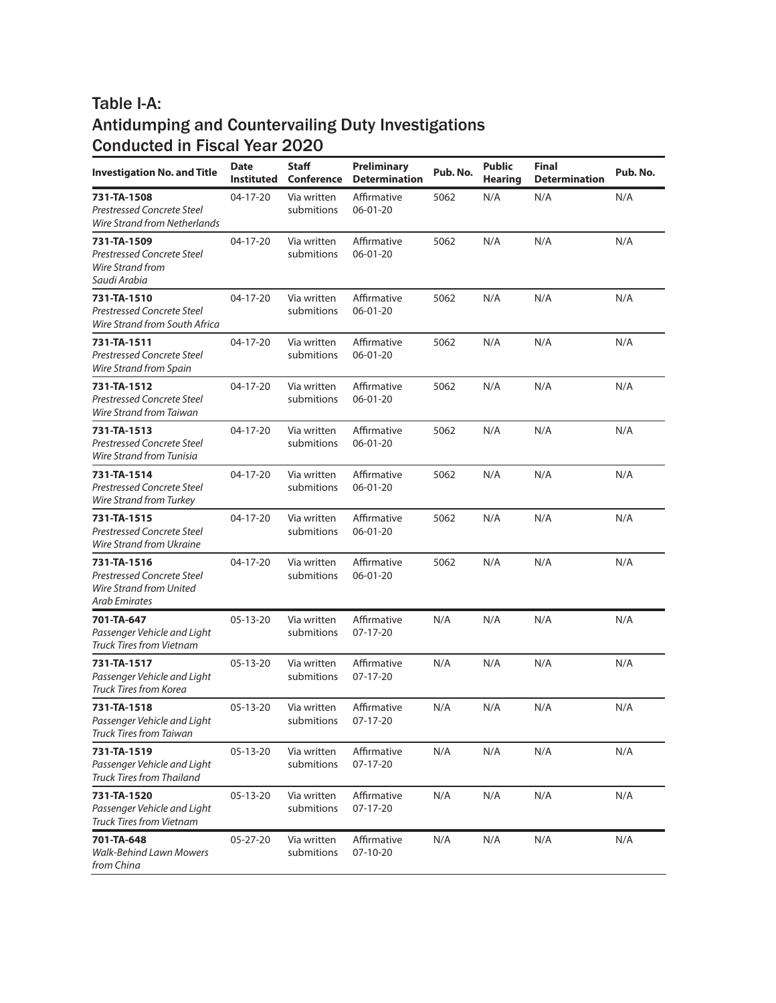| <b>Investigation No. and Title</b>                                                    | <b>Date</b><br><b>Instituted</b> | <b>Staff</b><br><b>Conference</b> | <b>Preliminary</b><br><b>Determination</b> | Pub. No. | <b>Public</b><br><b>Hearing</b> | <b>Final</b><br><b>Determination</b> | Pub. No. |
|---------------------------------------------------------------------------------------|----------------------------------|-----------------------------------|--------------------------------------------|----------|---------------------------------|--------------------------------------|----------|
| 731-TA-1508<br><b>Prestressed Concrete Steel</b><br>Wire Strand from Netherlands      | 04-17-20                         | Via written<br>submitions         | Affirmative<br>06-01-20                    | 5062     | N/A                             | N/A                                  | N/A      |
| 731-TA-1509<br><b>Prestressed Concrete Steel</b><br>Wire Strand from<br>Saudi Arabia  | 04-17-20                         | Via written<br>submitions         | Affirmative<br>$06 - 01 - 20$              | 5062     | N/A                             | N/A                                  | N/A      |
| 731-TA-1510<br><b>Prestressed Concrete Steel</b><br>Wire Strand from South Africa     | 04-17-20                         | Via written<br>submitions         | Affirmative<br>06-01-20                    | 5062     | N/A                             | N/A                                  | N/A      |
| 731-TA-1511<br><b>Prestressed Concrete Steel</b><br>Wire Strand from Spain            | 04-17-20                         | Via written<br>submitions         | Affirmative<br>06-01-20                    | 5062     | N/A                             | N/A                                  | N/A      |
| 731-TA-1512<br><b>Prestressed Concrete Steel</b><br>Wire Strand from Taiwan           | 04-17-20                         | Via written<br>submitions         | Affirmative<br>06-01-20                    | 5062     | N/A                             | N/A                                  | N/A      |
| 731-TA-1513<br><b>Prestressed Concrete Steel</b><br>Wire Strand from Tunisia          | $04 - 17 - 20$                   | Via written<br>submitions         | Affirmative<br>06-01-20                    | 5062     | N/A                             | N/A                                  | N/A      |
| 731-TA-1514<br><b>Prestressed Concrete Steel</b><br><b>Wire Strand from Turkey</b>    | 04-17-20                         | Via written<br>submitions         | Affirmative<br>06-01-20                    | 5062     | N/A                             | N/A                                  | N/A      |
| 731-TA-1515<br><b>Prestressed Concrete Steel</b><br>Wire Strand from Ukraine          | 04-17-20                         | Via written<br>submitions         | Affirmative<br>06-01-20                    | 5062     | N/A                             | N/A                                  | N/A      |
| 731-TA-1516<br>Prestressed Concrete Steel<br>Wire Strand from United<br>Arab Emirates | 04-17-20                         | Via written<br>submitions         | Affirmative<br>06-01-20                    | 5062     | N/A                             | N/A                                  | N/A      |
| 701-TA-647<br>Passenger Vehicle and Light<br>Truck Tires from Vietnam                 | 05-13-20                         | Via written<br>submitions         | Affirmative<br>07-17-20                    | N/A      | N/A                             | N/A                                  | N/A      |
| 731-TA-1517<br>Passenger Vehicle and Light<br>Truck Tires from Korea                  | 05-13-20                         | Via written<br>submitions         | Affirmative<br>07-17-20                    | N/A      | N/A                             | N/A                                  | N/A      |
| 731-TA-1518<br>Passenger Vehicle and Light<br><b>Truck Tires from Taiwan</b>          | $05 - 13 - 20$                   | Via written<br>submitions         | Affirmative<br>07-17-20                    | N/A      | N/A                             | N/A                                  | N/A      |
| 731-TA-1519<br>Passenger Vehicle and Light<br><b>Truck Tires from Thailand</b>        | 05-13-20                         | Via written<br>submitions         | Affirmative<br>07-17-20                    | N/A      | N/A                             | N/A                                  | N/A      |
| 731-TA-1520<br>Passenger Vehicle and Light<br>Truck Tires from Vietnam                | 05-13-20                         | Via written<br>submitions         | Affirmative<br>07-17-20                    | N/A      | N/A                             | N/A                                  | N/A      |
| 701-TA-648<br>Walk-Behind Lawn Mowers<br>from China                                   | 05-27-20                         | Via written<br>submitions         | Affirmative<br>07-10-20                    | N/A      | N/A                             | N/A                                  | N/A      |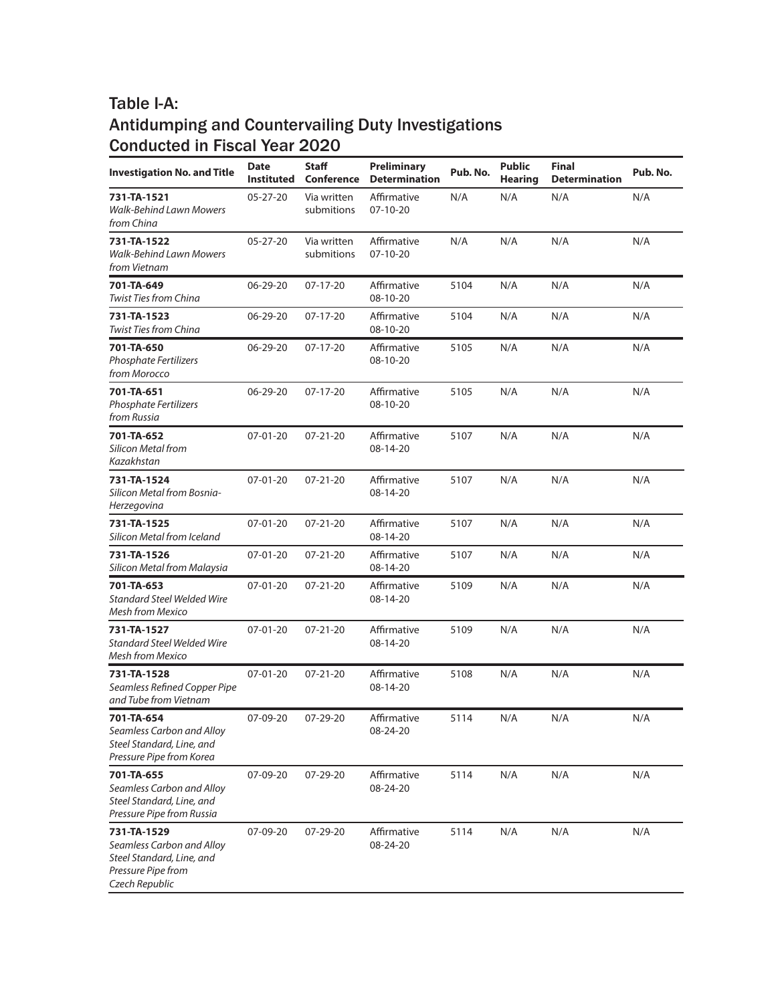| <b>Investigation No. and Title</b>                                                                            | <b>Date</b><br><b>Instituted</b> | <b>Staff</b><br>Conference | Preliminary<br><b>Determination</b> | Pub. No. | <b>Public</b><br><b>Hearing</b> | <b>Final</b><br><b>Determination</b> | Pub. No. |
|---------------------------------------------------------------------------------------------------------------|----------------------------------|----------------------------|-------------------------------------|----------|---------------------------------|--------------------------------------|----------|
| 731-TA-1521<br>Walk-Behind Lawn Mowers<br>from China                                                          | $05 - 27 - 20$                   | Via written<br>submitions  | Affirmative<br>07-10-20             | N/A      | N/A                             | N/A                                  | N/A      |
| 731-TA-1522<br>Walk-Behind Lawn Mowers<br>from Vietnam                                                        | 05-27-20                         | Via written<br>submitions  | Affirmative<br>07-10-20             | N/A      | N/A                             | N/A                                  | N/A      |
| 701-TA-649<br><b>Twist Ties from China</b>                                                                    | 06-29-20                         | 07-17-20                   | Affirmative<br>08-10-20             | 5104     | N/A                             | N/A                                  | N/A      |
| 731-TA-1523<br><b>Twist Ties from China</b>                                                                   | 06-29-20                         | $07-17-20$                 | Affirmative<br>08-10-20             | 5104     | N/A                             | N/A                                  | N/A      |
| 701-TA-650<br>Phosphate Fertilizers<br>from Morocco                                                           | 06-29-20                         | $07-17-20$                 | Affirmative<br>08-10-20             | 5105     | N/A                             | N/A                                  | N/A      |
| 701-TA-651<br><b>Phosphate Fertilizers</b><br>from Russia                                                     | 06-29-20                         | 07-17-20                   | Affirmative<br>08-10-20             | 5105     | N/A                             | N/A                                  | N/A      |
| 701-TA-652<br>Silicon Metal from<br>Kazakhstan                                                                | 07-01-20                         | $07 - 21 - 20$             | Affirmative<br>08-14-20             | 5107     | N/A                             | N/A                                  | N/A      |
| 731-TA-1524<br>Silicon Metal from Bosnia-<br>Herzegovina                                                      | $07 - 01 - 20$                   | $07 - 21 - 20$             | Affirmative<br>08-14-20             | 5107     | N/A                             | N/A                                  | N/A      |
| 731-TA-1525<br>Silicon Metal from Iceland                                                                     | $07 - 01 - 20$                   | $07 - 21 - 20$             | Affirmative<br>08-14-20             | 5107     | N/A                             | N/A                                  | N/A      |
| 731-TA-1526<br>Silicon Metal from Malaysia                                                                    | 07-01-20                         | $07 - 21 - 20$             | Affirmative<br>08-14-20             | 5107     | N/A                             | N/A                                  | N/A      |
| 701-TA-653<br><b>Standard Steel Welded Wire</b><br><b>Mesh from Mexico</b>                                    | $07 - 01 - 20$                   | $07 - 21 - 20$             | Affirmative<br>08-14-20             | 5109     | N/A                             | N/A                                  | N/A      |
| 731-TA-1527<br><b>Standard Steel Welded Wire</b><br><b>Mesh from Mexico</b>                                   | $07 - 01 - 20$                   | $07 - 21 - 20$             | Affirmative<br>08-14-20             | 5109     | N/A                             | N/A                                  | N/A      |
| 731-TA-1528<br>Seamless Refined Copper Pipe<br>and Tube from Vietnam                                          | $07 - 01 - 20$                   | $07 - 21 - 20$             | Affirmative<br>08-14-20             | 5108     | N/A                             | N/A                                  | N/A      |
| 701-TA-654<br>Seamless Carbon and Alloy<br>Steel Standard, Line, and<br>Pressure Pipe from Korea              | 07-09-20                         | 07-29-20                   | Affirmative<br>08-24-20             | 5114     | N/A                             | N/A                                  | N/A      |
| 701-TA-655<br>Seamless Carbon and Alloy<br>Steel Standard, Line, and<br>Pressure Pipe from Russia             | 07-09-20                         | 07-29-20                   | Affirmative<br>08-24-20             | 5114     | N/A                             | N/A                                  | N/A      |
| 731-TA-1529<br>Seamless Carbon and Alloy<br>Steel Standard, Line, and<br>Pressure Pipe from<br>Czech Republic | 07-09-20                         | 07-29-20                   | Affirmative<br>08-24-20             | 5114     | N/A                             | N/A                                  | N/A      |